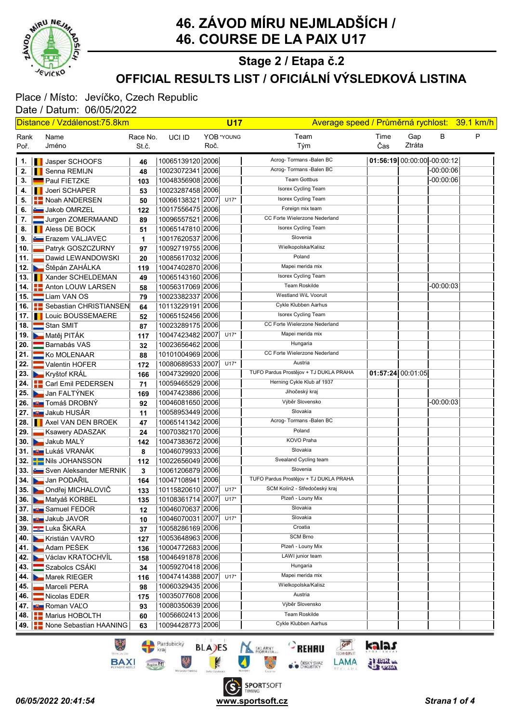

### OFFICIAL RESULTS LIST / OFICIÁLNÍ VÝSLEDKOVÁ LISTINA Stage 2 / Etapa č.2

## Place / Místo: Jevíčko, Czech Republic

Date / Datum: 06/05/2022

| Distance / Vzdálenost:75.8km |  |                                           |                   |                       | <b>U17</b><br>Average speed / Průměrná rychlost: 39.1 km/h |            |                                                                         |                             |               |             |   |
|------------------------------|--|-------------------------------------------|-------------------|-----------------------|------------------------------------------------------------|------------|-------------------------------------------------------------------------|-----------------------------|---------------|-------------|---|
| Rank<br>Poř.                 |  | Name<br>Jméno                             | Race No.<br>St.č. | UCI ID                | Roč.                                                       | YOB *YOUNG | Team<br>Tým                                                             | Time<br>Čas                 | Gap<br>Ztráta | В           | P |
|                              |  | 1.   Jasper SCHOOFS                       | 46                | 10065139120 2006      |                                                            |            | Acrog- Tormans - Balen BC                                               | 01:56:19 00:00:00 -00:00:12 |               |             |   |
|                              |  | 2. Il Senna REMIJN                        | 48                | 10023072341 2006      |                                                            |            | Acrog- Tormans - Balen BC                                               |                             |               | $-00:00:06$ |   |
| З.                           |  | Paul FIETZKE                              | 103               | 10048356908 2006      |                                                            |            | <b>Team Gottbus</b>                                                     |                             |               | $-00:00:06$ |   |
| 4.                           |  | <b>I</b> Joeri SCHAPER                    | 53                | 10023287458 2006      |                                                            |            | <b>Isorex Cycling Team</b>                                              |                             |               |             |   |
| 5.                           |  | <b>E-Noah ANDERSEN</b>                    | 50                | 10066138321 2007      |                                                            | $U17*$     | Isorex Cycling Team                                                     |                             |               |             |   |
|                              |  | 6. <b>December 10 Jakob OMRZEL</b>        | 122               | 10017556475 2006      |                                                            |            | Foreign mix team                                                        |                             |               |             |   |
| 7.                           |  | Jurgen ZOMERMAAND                         | 89                | 10096557521 2006      |                                                            |            | CC Forte Wielerzone Nederland                                           |                             |               |             |   |
|                              |  | 8. <b>I</b> Aless DE BOCK                 | 51                | 10065147810 2006      |                                                            |            | Isorex Cycling Team                                                     |                             |               |             |   |
| 9.                           |  | <b>E</b> razem VALJAVEC                   | 1                 | 10017620537 2006      |                                                            |            | Slovenia                                                                |                             |               |             |   |
| 10. l                        |  | Patryk GOSZCZURNY                         | 97                | 10092719755 2006      |                                                            |            | Wielkopolska/Kalisz                                                     |                             |               |             |   |
| 11. I                        |  | Dawid LEWANDOWSKI                         | 20                | 10085617032 2006      |                                                            |            | Poland                                                                  |                             |               |             |   |
|                              |  | 12. <b>DET</b> Štěpán ZAHÁLKA             | 119               | 10047402870 2006      |                                                            |            | Mapei merida mix                                                        |                             |               |             |   |
|                              |  | 13.   Xander SCHELDEMAN                   | 49                | 10065143160 2006      |                                                            |            | Isorex Cycling Team                                                     |                             |               |             |   |
|                              |  | 14. <b>     </b> Anton LOUW LARSEN        | 58                | 10056317069 2006      |                                                            |            | Team Roskilde                                                           |                             |               | $-00:00:03$ |   |
|                              |  | 15. Liam VAN OS                           | 79                | 10023382337 2006      |                                                            |            | Westland WiL Vooruit                                                    |                             |               |             |   |
|                              |  | 16. <b>E.</b> Sebastian CHRISTIANSEN      | 64                | 10113229191 2006      |                                                            |            | Cykle Klubben Aarhus                                                    |                             |               |             |   |
|                              |  | 17.   Louic BOUSSEMAERE                   | 52                | 10065152456 2006      |                                                            |            | Isorex Cycling Team                                                     |                             |               |             |   |
|                              |  | 18. Stan SMIT                             | 87                | 10023289175 2006      |                                                            |            | CC Forte Wielerzone Nederland                                           |                             |               |             |   |
|                              |  | 19. Matěj PITÁK                           | 117               | 10047423482 2007      |                                                            | $U17*$     | Mapei merida mix                                                        |                             |               |             |   |
|                              |  | 20. <b>Barnabás VAS</b>                   | 32                | 10023656462 2006      |                                                            |            | Hungaria                                                                |                             |               |             |   |
|                              |  | 21.   Ko MOLENAAR                         | 88                | 10101004969 2006      |                                                            |            | CC Forte Wielerzone Nederland                                           |                             |               |             |   |
|                              |  | 22. Valentin HOFER                        | 172               | 10080689533 2007      |                                                            | $U17*$     | Austria                                                                 |                             |               |             |   |
|                              |  | 23. Kryštof KRÁL                          | 166               | 10047329920 2006      |                                                            |            | TUFO Pardus Prostějov + TJ DUKLA PRAHA                                  | 01:57:24 00:01:05           |               |             |   |
|                              |  | 24. <b>Carl Emil PEDERSEN</b>             | 71                | 10059465529 2006      |                                                            |            | Herning Cykle Klub af 1937                                              |                             |               |             |   |
|                              |  | 25. Jan FALTÝNEK                          | 169               | 10047423886 2006      |                                                            |            | Jihočeský kraj                                                          |                             |               |             |   |
|                              |  | 26. <b>JU Tomáš DROBNÝ</b>                | 92                | 10046081650 2006      |                                                            |            | Výběr Slovensko                                                         |                             |               | $-00:00:03$ |   |
|                              |  | 27. <b>JUN</b> Jakub HUSÁR                | 11                | 10058953449 2006      |                                                            |            | Slovakia                                                                |                             |               |             |   |
|                              |  | 28. <b>Axel VAN DEN BROEK</b>             | 47                | 10065141342 2006      |                                                            |            | Acrog- Tormans - Balen BC                                               |                             |               |             |   |
| 29.1                         |  | Ksawery ADASZAK                           | 24                | 10070382170 2006      |                                                            |            | Poland                                                                  |                             |               |             |   |
|                              |  | 30. Jakub MALÝ                            | 142               | 10047383672 2006      |                                                            |            | KOVO Praha                                                              |                             |               |             |   |
|                              |  | 31. <b>JU L</b> ukáš VRANÁK               | 8                 | 10046079933 2006      |                                                            |            | Slovakia                                                                |                             |               |             |   |
|                              |  | 32. Nils JOHANSSON                        | 112               | 10022656049 2006      |                                                            |            | Svealand Cycling team                                                   |                             |               |             |   |
|                              |  | 33. Sven Aleksander MERNIK                | 3                 | 10061206879 2006      |                                                            |            | Slovenia                                                                |                             |               |             |   |
|                              |  | 34. Jan PODAŘIL                           | 164               | 10047108941 2006      |                                                            |            | TUFO Pardus Prostějov + TJ DUKLA PRAHA<br>SCM Kolín2 - Středočeský kraj |                             |               |             |   |
|                              |  | 35. Ondřej MICHALOVIČ                     | 133               | 10115820610 2007 U17* |                                                            |            |                                                                         |                             |               |             |   |
|                              |  | 36. Matyáš KORBEL                         | 135               | 10108361714 2007      |                                                            | $U17*$     | Plzeň - Louny Mix<br>Slovakia                                           |                             |               |             |   |
|                              |  | 37. <b>July Samuel FEDOR</b>              | 12                | 10046070637 2006      |                                                            |            | Slovakia                                                                |                             |               |             |   |
|                              |  | 38. <b>July Jakub JAVOR</b>               | 10                | 10046070031 2007      |                                                            | $U17*$     | Croatia                                                                 |                             |               |             |   |
|                              |  | 39. Luka ŠKARA                            | 37                | 10058286169 2006      |                                                            |            | <b>SCM Brno</b>                                                         |                             |               |             |   |
|                              |  | 40. Kristián VAVRO                        | 127               | 10053648963 2006      |                                                            |            | Plzeň - Louny Mix                                                       |                             |               |             |   |
|                              |  | 41. Adam PEŠEK                            | 136               | 10004772683 2006      |                                                            |            | LAWI junior team                                                        |                             |               |             |   |
|                              |  | 42. Václav KRATOCHVÍL                     | 158               | 10046491878 2006      |                                                            |            | Hungaria                                                                |                             |               |             |   |
| 43.                          |  | Szabolcs CSÁKI                            | 34                | 10059270418 2006      |                                                            |            | Mapei merida mix                                                        |                             |               |             |   |
|                              |  | 44. Marek RIEGER                          | 116               | 10047414388 2007      |                                                            | $U17*$     | Wielkopolska/Kalisz                                                     |                             |               |             |   |
| 45.                          |  | Marceli PERA                              | 98                | 10060329435 2006      |                                                            |            | Austria                                                                 |                             |               |             |   |
| 46.                          |  | Nicolas EDER                              | 175               | 10035077608 2006      |                                                            |            | Výběr Slovensko                                                         |                             |               |             |   |
|                              |  | 47. <b>Bur</b> Roman VALO                 | 93                | 10080350639 2006      |                                                            |            | Team Roskilde                                                           |                             |               |             |   |
|                              |  | 48. <b>ED</b> Marius HOBOLTH              | 60                | 10056602413 2006      |                                                            |            | Cykle Klubben Aarhus                                                    |                             |               |             |   |
|                              |  | 49. <b>        None Sebastian HAANING</b> | 63                | 10094428773 2006      |                                                            |            |                                                                         |                             |               |             |   |

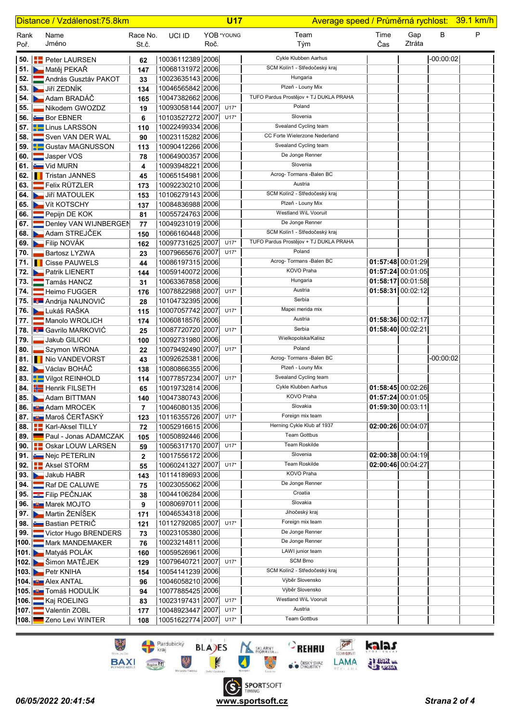| Distance / Vzdálenost: 75.8km |  |                                                |                   | <b>U17</b>                           |      |            |                                        | Average speed / Průměrná rychlost: 39.1 km/h |               |             |   |  |  |
|-------------------------------|--|------------------------------------------------|-------------------|--------------------------------------|------|------------|----------------------------------------|----------------------------------------------|---------------|-------------|---|--|--|
| Rank<br>Poř.                  |  | Name<br>Jméno                                  | Race No.<br>St.č. | UCI ID                               | Roč. | YOB *YOUNG | Team<br>Tým                            | Time<br>Čas                                  | Gap<br>Ztráta | В           | P |  |  |
|                               |  | 50. <b>PED PERSET PERSET</b>                   | 62                | 10036112389 2006                     |      |            | Cykle Klubben Aarhus                   |                                              |               | $-00:00:02$ |   |  |  |
|                               |  | 51. Matěj PEKAŘ                                | 147               | 10068131972 2006                     |      |            | SCM Kolín1 - Středočeský kraj          |                                              |               |             |   |  |  |
| 52. I                         |  | András Gusztáv PAKOT                           | 33                | 10023635143 2006                     |      |            | Hungaria                               |                                              |               |             |   |  |  |
|                               |  | 53. Jiří ZEDNÍK                                | 134               | 10046565842 2006                     |      |            | Plzeň - Louny Mix                      |                                              |               |             |   |  |  |
|                               |  | 54. Adam BRADÁČ                                | 165               | 10047382662 2006                     |      |            | TUFO Pardus Prostějov + TJ DUKLA PRAHA |                                              |               |             |   |  |  |
| 55.                           |  | Nikodem GWOZDZ                                 | 19                | 10093058144 2007                     |      | $U17*$     | Poland                                 |                                              |               |             |   |  |  |
|                               |  | 56. <b>Em</b> Bor EBNER                        | 6                 | 10103527272 2007                     |      | $U17*$     | Slovenia                               |                                              |               |             |   |  |  |
|                               |  | 57. E Linus LARSSON                            | 110               | 10022499334 2006                     |      |            | Svealand Cycling team                  |                                              |               |             |   |  |  |
| 58. II                        |  | Sven VAN DER WAL                               | 90                | 10023115282 2006                     |      |            | CC Forte Wielerzone Nederland          |                                              |               |             |   |  |  |
|                               |  | 59. <b>B</b> Gustav MAGNUSSON                  | 113               | 10090412266 2006                     |      |            | Svealand Cycling team                  |                                              |               |             |   |  |  |
|                               |  | 60. Jasper VOS                                 | 78                | 10064900357 2006                     |      |            | De Jonge Renner                        |                                              |               |             |   |  |  |
|                               |  | 61. $Vid MURN$                                 | 4                 | 10093948221 2006                     |      |            | Slovenia                               |                                              |               |             |   |  |  |
|                               |  | 62. Tristan JANNES                             | 45                | 10065154981 2006                     |      |            | Acrog- Tormans - Balen BC              |                                              |               |             |   |  |  |
|                               |  | 63. <b>Felix RÜTZLER</b>                       | 173               | 10092230210 2006                     |      |            | Austria                                |                                              |               |             |   |  |  |
|                               |  | 64. Jiří MATOULEK                              | 153               | 10106279143 2006                     |      |            | SCM Kolín2 - Středočeský kraj          |                                              |               |             |   |  |  |
|                               |  | 65. Vít KOTSCHY                                | 137               | 10084836988 2006                     |      |            | Plzeň - Louny Mix                      |                                              |               |             |   |  |  |
|                               |  | 66. Pepijn DE KOK                              | 81                | 10055724763 2006                     |      |            | Westland WiL Vooruit                   |                                              |               |             |   |  |  |
|                               |  | 67. Denley VAN WIJNBERGEN                      | 77                | 10049231019 2006                     |      |            | De Jonge Renner                        |                                              |               |             |   |  |  |
|                               |  | 68. Adam STREJČEK                              | 150               | 10066160448 2006                     |      |            | SCM Kolín1 - Středočeský kraj          |                                              |               |             |   |  |  |
|                               |  | 69. <b>Example 19</b> Filip NOVÁK              | 162               | 10097731625 2007                     |      | $U17*$     | TUFO Pardus Prostějov + TJ DUKLA PRAHA |                                              |               |             |   |  |  |
| 70. I                         |  | Bartosz LYZWA                                  | 23                | 10079665676 2007                     |      | $U17*$     | Poland                                 |                                              |               |             |   |  |  |
|                               |  | 71.   Cisse PAUWELS                            | 44                | 10086197315 2006                     |      |            | Acrog- Tormans - Balen BC              | $01:57:48$ 00:01:29                          |               |             |   |  |  |
|                               |  | 72. <b>Patrik LIENERT</b>                      | 144               | 10059140072 2006                     |      |            | KOVO Praha                             | 01:57:24 00:01:05                            |               |             |   |  |  |
|                               |  | 73. Tamás HANCZ                                | 31                | 10063367858 2006                     |      |            | Hungaria                               | 01:58:17 00:01:58                            |               |             |   |  |  |
|                               |  | 74. Heimo FUGGER                               | 176               | 10078822988 2007                     |      | $U17*$     | Austria                                | 01:58:31 00:02:12                            |               |             |   |  |  |
|                               |  | 75. <b>Jan Andrija NAUNOVIĆ</b>                | 28                | 10104732395 2006                     |      |            | Serbia                                 |                                              |               |             |   |  |  |
|                               |  | <b>76. Lukáš RAŠKA</b>                         | 115               | 10007057742 2007                     |      | $U17*$     | Mapei merida mix                       |                                              |               |             |   |  |  |
|                               |  | 77. Manolo WROLICH                             | 174               | 10060818576 2006                     |      |            | Austria                                | 01:58:36 00:02:17                            |               |             |   |  |  |
|                               |  | 78. <b>E Gavrilo MARKOVIĆ</b>                  | 25                | 10087720720 2007                     |      | $U17*$     | Serbia                                 | 01:58:40 00:02:21                            |               |             |   |  |  |
| 79. I                         |  | Jakub GILICKI                                  | 100               | 10092731980 2006                     |      |            | Wielkopolska/Kalisz                    |                                              |               |             |   |  |  |
| 80. I                         |  | Szymon WRONA                                   | 22                | 10079492490 2007                     |      | $U17*$     | Poland                                 |                                              |               |             |   |  |  |
|                               |  | 81. INio VANDEVORST                            | 43                | 10092625381 2006                     |      |            | Acrog- Tormans - Balen BC              |                                              |               | $-00:00:02$ |   |  |  |
|                               |  | 82. Václav BOHÁČ                               | 138               | 10080866355 2006                     |      |            | Plzeň - Louny Mix                      |                                              |               |             |   |  |  |
|                               |  | 83. Vilgot REINHOLD                            | 114               | 10077857234 2007 U17*                |      |            | Svealand Cycling team                  |                                              |               |             |   |  |  |
|                               |  | <b>84.</b> Henrik FILSETH                      | 65                | 10019732814 2006                     |      |            | Cykle Klubben Aarhus<br>KOVO Praha     | 01:58:45 00:02:26                            |               |             |   |  |  |
|                               |  | 85. Adam BITTMAN                               | 140               | 10047380743 2006                     |      |            | Slovakia                               | 01:57:24 00:01:05                            |               |             |   |  |  |
|                               |  | 86. <b>Bun</b> Adam MROCEK                     | 7                 | 10046080135 2006                     |      |            | Foreign mix team                       | 01:59:30 00:03:11                            |               |             |   |  |  |
|                               |  | <b>∣ 87. Lu Maroš ČERŤASKÝ</b>                 | 123               | 10116355726 2007                     |      | $U17*$     | Herning Cykle Klub af 1937             |                                              |               |             |   |  |  |
|                               |  | 88. <b>E.</b> Karl-Aksel TILLY                 | 72                | 10052916615 2006                     |      |            | <b>Team Gottbus</b>                    | 02:00:26 00:04:07                            |               |             |   |  |  |
|                               |  | 89. Paul - Jonas ADAMCZAK                      | 105               | 10050892446 2006<br>10056317170 2007 |      | $U17*$     | Team Roskilde                          |                                              |               |             |   |  |  |
|                               |  | 90. <b>BE</b> Oskar LOUW LARSEN                | 59                | 10017556172 2006                     |      |            | Slovenia                               | $02:00:38$ 00:04:19                          |               |             |   |  |  |
|                               |  | 91. Nejc PETERLIN<br>92. <b>E.</b> Aksel STORM | $\boldsymbol{2}$  | 10060241327 2007                     |      | $U17*$     | <b>Team Roskilde</b>                   | 02:00:46 00:04:27                            |               |             |   |  |  |
|                               |  | 93. Jakub HABR                                 | 55<br>143         | 10114189693 2006                     |      |            | <b>KOVO Praha</b>                      |                                              |               |             |   |  |  |
|                               |  | <b>94.</b> Raf DE CALUWE                       | 75                | 10023055062 2006                     |      |            | De Jonge Renner                        |                                              |               |             |   |  |  |
|                               |  | 95. E Filip PEČNJAK                            | 38                | 10044106284 2006                     |      |            | Croatia                                |                                              |               |             |   |  |  |
|                               |  | 96. <b>But Marek MOJTO</b>                     | 9                 | 10080697011 2006                     |      |            | Slovakia                               |                                              |               |             |   |  |  |
|                               |  | 97. Martin ŽENÍŠEK                             | 171               | 10046534318 2006                     |      |            | Jihočeský kraj                         |                                              |               |             |   |  |  |
|                               |  | 98. Bastian PETRIČ                             | 121               | 10112792085 2007                     |      | $U17*$     | Foreign mix team                       |                                              |               |             |   |  |  |
|                               |  | 99. Victor Hugo BRENDERS                       | 73                | 10023105380 2006                     |      |            | De Jonge Renner                        |                                              |               |             |   |  |  |
|                               |  | 100. Mark MANDEMAKER                           | 76                | 10023214811 2006                     |      |            | De Jonge Renner                        |                                              |               |             |   |  |  |
|                               |  | 101. Matyáš POLÁK                              | 160               | 10059526961 2006                     |      |            | LAWI junior team                       |                                              |               |             |   |  |  |
|                               |  | 102. Simon MATĚJEK                             | 129               | 10079640721 2007                     |      | $U17*$     | <b>SCM Brno</b>                        |                                              |               |             |   |  |  |
|                               |  | 103. Petr KNIHA                                | 154               | 10054141239 2006                     |      |            | SCM Kolín2 - Středočeský kraj          |                                              |               |             |   |  |  |
|                               |  | 104. U Alex ANTAL                              | 96                | 10046058210 2006                     |      |            | Výběr Slovensko                        |                                              |               |             |   |  |  |
|                               |  | 105. <b>JULI</b> Tomáš HODULÍK                 | 94                | 10077885425 2006                     |      |            | Výběr Slovensko                        |                                              |               |             |   |  |  |
|                               |  | 106. Kaj ROELING                               | 83                | 10023197431 2007                     |      | $U17*$     | Westland WiL Vooruit                   |                                              |               |             |   |  |  |
|                               |  | 107. Valentin ZOBL                             | 177               | 10048923447 2007                     |      | $U17*$     | Austria                                |                                              |               |             |   |  |  |
|                               |  | 108. Zeno Levi WINTER                          | 108               | 10051622774 2007 U17*                |      |            | <b>Team Gottbus</b>                    |                                              |               |             |   |  |  |

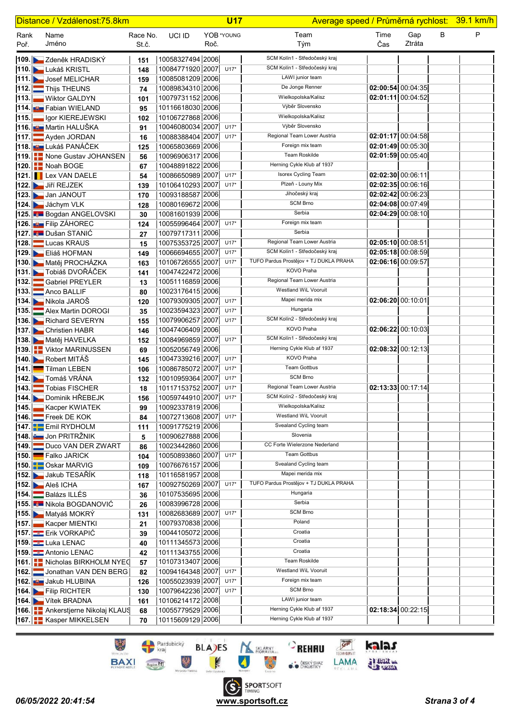|              | Distance / Vzdálenost:75.8km                          |                   |                                      |      | <b>U17</b>       | Average speed / Průměrná rychlost: 39.1 km/h |                     |                     |   |   |
|--------------|-------------------------------------------------------|-------------------|--------------------------------------|------|------------------|----------------------------------------------|---------------------|---------------------|---|---|
| Rank<br>Poř. | Name<br>Jméno                                         | Race No.<br>St.č. | UCI ID                               | Roč. | YOB *YOUNG       | Team<br>Tým                                  | Time<br>Čas         | Gap<br>Ztráta       | в | P |
|              | 109. D— Zdeněk HRADISKY                               | 151               | 10058327494 2006                     |      |                  | SCM Kolín1 - Středočeský kraj                |                     |                     |   |   |
|              | 110. Lukáš KRISTL                                     | 148               | 10084771920 2007                     |      | $U17*$           | SCM Kolín1 - Středočeský kraj                |                     |                     |   |   |
|              | 111. Josef MELICHAR                                   | 159               | 10085081209 2006                     |      |                  | LAWI junior team                             |                     |                     |   |   |
| 112.1        | Thijs THEUNS                                          | 74                | 10089834310 2006                     |      |                  | De Jonge Renner                              | 02:00:54 00:04:35   |                     |   |   |
| 113.         | <b>Wiktor GALDYN</b>                                  | 101               | 10079731152 2006                     |      |                  | Wielkopolska/Kalisz                          |                     | $02:01:11$ 00:04:52 |   |   |
|              | 114. <b>U.</b> Fabian WIELAND                         | 95                | 10116618030 2006                     |      |                  | Výběr Slovensko                              |                     |                     |   |   |
| 115.         | lgor KIEREJEWSKI                                      | 102               | 10106727868 2006                     |      |                  | Wielkopolska/Kalisz                          |                     |                     |   |   |
|              | 116. <b>BE</b> Martin HALUŠKA                         | 91                | 10046080034 2007                     |      | $U17*$           | Výběr Slovensko                              |                     |                     |   |   |
|              | 117. Ayden JORDAN                                     | 16                | 10088388404 2007                     |      | $U17*$           | Regional Team Lower Austria                  |                     | $02:01:17$ 00:04:58 |   |   |
|              | <b>118. <mark>∎9 Lukáš PANÁČEK</mark></b>             | 125               | 10065803669 2006                     |      |                  | Foreign mix team                             |                     | $02:01:49$ 00:05:30 |   |   |
|              | 119. All None Gustav JOHANSEN                         | 56                | 10096906317 2006                     |      |                  | Team Roskilde                                | 02:01:59 00:05:40   |                     |   |   |
|              | 120. Noah BOGE                                        | 67                | 10048891822 2006                     |      |                  | Herning Cykle Klub af 1937                   |                     |                     |   |   |
|              | 121. <b>I</b> Lex VAN DAELE                           | 54                | 10086650989 2007                     |      | $U17*$           | Isorex Cycling Team                          | 02:02:30 00:06:11   |                     |   |   |
|              | 122. Jiří REJZEK                                      | 139               | 10106410293 2007                     |      | $U17*$           | Plzeň - Louny Mix                            | 02:02:35 00:06:16   |                     |   |   |
|              | 123. Jan JANOUT                                       | 170               | 10093188587 2006                     |      |                  | Jihočeský kraj                               | 02:02:42 00:06:23   |                     |   |   |
|              | 124. Jáchym VLK                                       | 128               | 10080169672 2006                     |      |                  | <b>SCM Brno</b>                              |                     | $02:04:08$ 00:07:49 |   |   |
|              | 125. Bogdan ANGELOVSKI                                | 30                | 10081601939 2006                     |      |                  | Serbia                                       |                     | $02:04:29$ 00:08:10 |   |   |
|              | 126. <b>But</b> Filip ZÁHOREC                         | 124               | 10055996464 2007                     |      | $U17*$           | Foreign mix team                             |                     |                     |   |   |
|              | 127. Dušan STANIĆ                                     | 27                | 10079717311 2006                     |      |                  | Serbia                                       |                     |                     |   |   |
| 128.         | Lucas KRAUS                                           | 15                | 10075353725 2007                     |      | $U17*$           | Regional Team Lower Austria                  | 02:05:10 00:08:51   |                     |   |   |
|              | 129. Eliáš HOFMAN                                     | 149               | 10066694655 2007                     |      | $U17*$           | SCM Kolín1 - Středočeský kraj                | 02:05:18 00:08:59   |                     |   |   |
|              | 130. Matěj PROCHÁZKA                                  | 163               | 10106726555 2007                     |      | $U17*$           | TUFO Pardus Prostějov + TJ DUKLA PRAHA       | 02:06:16 00:09:57   |                     |   |   |
|              | 131. Tobiáš DVOŘÁČEK                                  | 141               | 10047422472 2006                     |      |                  | KOVO Praha<br>Regional Team Lower Austria    |                     |                     |   |   |
| 132.         | Gabriel PREYLER                                       | 13                | 10051116859 2006                     |      |                  | Westland WiL Vooruit                         |                     |                     |   |   |
|              | 133. Anco BALLIF                                      | 80                | 10023176415 2006                     |      |                  | Mapei merida mix                             |                     |                     |   |   |
|              | 134. Nikola JAROŠ                                     | 120               | 10079309305 2007                     |      | $U17*$<br>$U17*$ | Hungaria                                     | $02:06:20$ 00:10:01 |                     |   |   |
| 135.         | Alex Martin DOROGI                                    | 35                | 10023594323 2007                     |      | $U17*$           | SCM Kolín2 - Středočeský kraj                |                     |                     |   |   |
|              | 136. <b>B.</b> Richard SEVERYN<br>137. Christien HABR | 155               | 10079906257 2007<br>10047406409 2006 |      |                  | KOVO Praha                                   | 02:06:22 00:10:03   |                     |   |   |
|              | 138. Matěj HAVELKA                                    | 146<br>152        | 10084969859 2007                     |      | $U17*$           | SCM Kolín1 - Středočeský kraj                |                     |                     |   |   |
|              | 139. Viktor MARINUSSEN                                | 69                | 10052056749 2006                     |      |                  | Herning Cykle Klub af 1937                   | 02:08:32 00:12:13   |                     |   |   |
|              | 140. Robert MITÁŠ                                     | 145               | 10047339216 2007                     |      | $U17*$           | KOVO Praha                                   |                     |                     |   |   |
| 141.         | <b>Tilman LEBEN</b>                                   | 106               | 10086785072 2007                     |      | $U17*$           | <b>Team Gottbus</b>                          |                     |                     |   |   |
|              | 142. Tomáš VRÁNA                                      | 132               | 10010959364 2007                     |      | $U17*$           | <b>SCM Brno</b>                              |                     |                     |   |   |
| 143.         | Tobias FISCHER                                        | 18                | 10117153752 2007                     |      | $U17*$           | Regional Team Lower Austria                  | 02:13:33 00:17:14   |                     |   |   |
|              | <b>144. Dominik HREBEJK</b>                           | 156               | 10059744910 2007                     |      | $U17*$           | SCM Kolín2 - Středočeský kraj                |                     |                     |   |   |
|              | 145. Kacper KWIATEK                                   | 99                | 10092337819 2006                     |      |                  | Wielkopolska/Kalisz                          |                     |                     |   |   |
|              | 146. Freek DE KOK                                     | 84                | 10072713608 2007                     |      | $U17*$           | <b>Westland WiL Vooruit</b>                  |                     |                     |   |   |
|              | 147. Emil RYDHOLM                                     | 111               | 10091775219 2006                     |      |                  | Svealand Cycling team                        |                     |                     |   |   |
|              | 148. Jon PRITRŽNIK                                    | 5                 | 10090627888 2006                     |      |                  | Slovenia                                     |                     |                     |   |   |
|              | 149. Duco VAN DER ZWART                               | 86                | 10023442860 2006                     |      |                  | CC Forte Wielerzone Nederland                |                     |                     |   |   |
| 150.         | Falko JARICK                                          | 104               | 10050893860 2007                     |      | $U17*$           | Team Gottbus                                 |                     |                     |   |   |
|              | 150. <b>Details</b> Oskar MARVIG                      | 109               | 10076676157 2006                     |      |                  | Svealand Cycling team                        |                     |                     |   |   |
|              | 152. Jakub TESAŘÍK                                    | 118               | 10116581957 2008                     |      |                  | Mapei merida mix                             |                     |                     |   |   |
|              | 152. Aleš ICHA                                        | 167               | 10092750269 2007                     |      | $U17*$           | TUFO Pardus Prostějov + TJ DUKLA PRAHA       |                     |                     |   |   |
|              | 154. Balázs ILLÉS                                     | 36                | 10107535695 2006                     |      |                  | Hungaria<br>Serbia                           |                     |                     |   |   |
|              | 155. Nikola BOGDANOVIĆ                                | 26                | 10083996728 2006                     |      |                  | <b>SCM Brno</b>                              |                     |                     |   |   |
|              | 155. Matyáš MOKRÝ                                     | 131               | 10082683689 2007                     |      | $U17*$           | Poland                                       |                     |                     |   |   |
|              | 157. Kacper MIENTKI                                   | 21                | 10079370838 2006<br>10044105072 2006 |      |                  | Croatia                                      |                     |                     |   |   |
|              | 157. Erik VORKAPIĆ<br>159. Luka LENAC                 | 39                | 10111345573 2006                     |      |                  | Croatia                                      |                     |                     |   |   |
|              | 159. Antonio LENAC                                    | 40                | 10111343755 2006                     |      |                  | Croatia                                      |                     |                     |   |   |
|              | 161. Nicholas BIRKHOLM NYEC                           | 42<br>57          | 10107313407 2006                     |      |                  | Team Roskilde                                |                     |                     |   |   |
|              | 162. Jonathan VAN DEN BERG                            | 82                | 10094164348 2007                     |      | $U17*$           | Westland WiL Vooruit                         |                     |                     |   |   |
|              | 162. U Jakub HLUBINA                                  | 126               | 10055023939 2007                     |      | $U17*$           | Foreign mix team                             |                     |                     |   |   |
|              | 164. Filip RICHTER                                    | 130               | 10079642236 2007                     |      | $U17*$           | <b>SCM Brno</b>                              |                     |                     |   |   |
|              | 164. Vítek BRADNA                                     | 161               | 10106214172 2008                     |      |                  | LAWI junior team                             |                     |                     |   |   |
|              | <b>166. LA</b> Ankerstjerne Nikolaj KLAUS             | 68                | 10055779529 2006                     |      |                  | Herning Cykle Klub af 1937                   | $02:18:34$ 00:22:15 |                     |   |   |
|              | 167. <b>E.</b> Kasper MIKKELSEN                       | 70                | 10115609129 2006                     |      |                  | Herning Cykle Klub af 1937                   |                     |                     |   |   |
|              |                                                       |                   |                                      |      |                  |                                              |                     |                     |   |   |

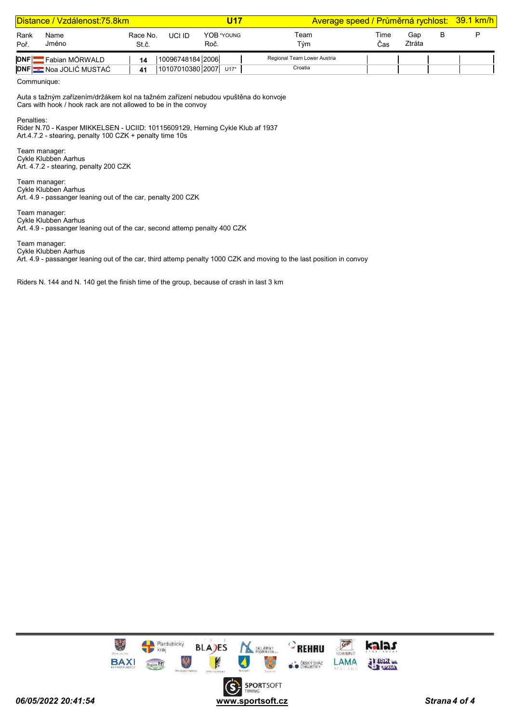|              | Distance / Vzdálenost:75.8km   |                   |                  | U17                   |                             | Average speed / Průměrná rychlost: 39.1 km/h |               |   |  |
|--------------|--------------------------------|-------------------|------------------|-----------------------|-----------------------------|----------------------------------------------|---------------|---|--|
| Rank<br>Poř. | Name<br>Jméno                  | Race No.<br>St.č. | UCI ID           | YOB *YOUNG<br>Roč.    | Team<br>Tým                 | Time<br>∵ิas                                 | Gap<br>Ztráta | в |  |
| <b>DNF</b>   | Fabian MÖRWALD                 | 14                | 10096748184 2006 |                       | Regional Team Lower Austria |                                              |               |   |  |
|              | <b>DNF BE Noa JOLIĆ MUSTAĆ</b> | 41                |                  | 10107010380 2007 U17* | Croatia                     |                                              |               |   |  |

Communique:

Auta s tažným zařízením/držákem kol na tažném zařízení nebudou vpuštěna do konvoje Cars with hook / hook rack are not allowed to be in the convoy

Penalties:

Rider N.70 - Kasper MIKKELSEN - UCIID: 10115609129, Herning Cykle Klub af 1937 Art.4.7.2 - stearing, penalty 100 CZK + penalty time 10s

Team manager: Cykle Klubben Aarhus Art. 4.7.2 - stearing, penalty 200 CZK

Team manager: Cykle Klubben Aarhus Art. 4.9 - passanger leaning out of the car, penalty 200 CZK

Team manager: Cykle Klubben Aarhus Art. 4.9 - passanger leaning out of the car, second attemp penalty 400 CZK

Team manager: Cykle Klubben Aarhus

Art. 4.9 - passanger leaning out of the car, third attemp penalty 1000 CZK and moving to the last position in convoy

Riders N. 144 and N. 140 get the finish time of the group, because of crash in last 3 km

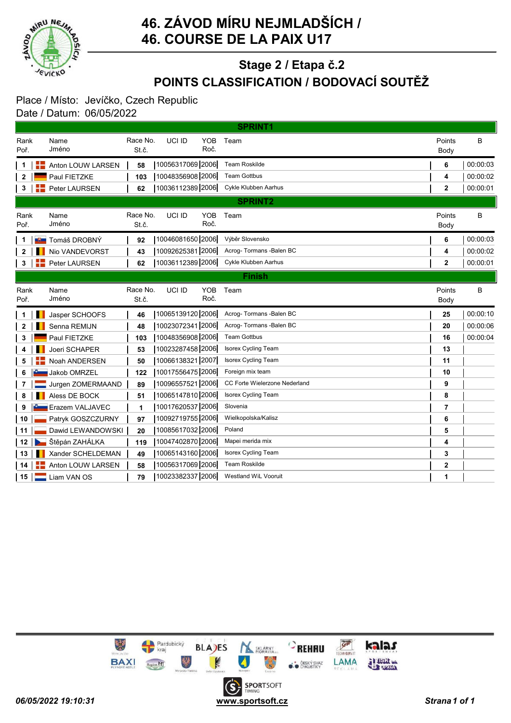

## POINTS CLASSIFICATION / BODOVACÍ SOUTĚŽ Stage 2 / Etapa č.2

#### Place / Místo: Jevíčko, Czech Republic Date / Datum: 06/05/2022

|                 |                         |                   |                  |                    | <b>SPRINT1</b>                |                |          |
|-----------------|-------------------------|-------------------|------------------|--------------------|-------------------------------|----------------|----------|
| Rank<br>Poř.    | Name<br>Jméno           | Race No.<br>St.č. | UCI ID           | <b>YOB</b><br>Roč. | Team                          | Points<br>Body | B        |
|                 | Anton LOUW LARSEN       | 58                | 10056317069 2006 |                    | <b>Team Roskilde</b>          | 6              | 00:00:03 |
| 2               | Paul FIETZKE            | 103               | 10048356908 2006 |                    | <b>Team Gottbus</b>           | 4              | 00:00:02 |
| 3               | Peter LAURSEN           | 62                | 10036112389 2006 |                    | Cykle Klubben Aarhus          | $\mathbf{2}$   | 00:00:01 |
|                 |                         |                   |                  |                    | <b>SPRINT2</b>                |                |          |
| Rank<br>Poř.    | Name<br>Jméno           | Race No.<br>St.č. | UCI ID           | <b>YOB</b><br>Roč. | Team                          | Points<br>Body | B        |
| 1               | <b>∎9∎</b> Tomáš DROBNÝ | 92                | 10046081650 2006 |                    | Výběr Slovensko               | 6              | 00:00:03 |
| 2               | Nio VANDEVORST          | 43                | 10092625381 2006 |                    | Acroq- Tormans - Balen BC     | 4              | 00:00:02 |
| 3               | <b>Peter LAURSEN</b>    | 62                | 10036112389 2006 |                    | Cykle Klubben Aarhus          | $\mathbf{2}$   | 00:00:01 |
|                 |                         |                   |                  |                    | <b>Finish</b>                 |                |          |
| Rank<br>Poř.    | Name<br>Jméno           | Race No.<br>St.č. | UCI ID           | <b>YOB</b><br>Roč. | Team                          | Points<br>Body | B        |
| 1               | Jasper SCHOOFS          | 46                | 10065139120 2006 |                    | Acroq- Tormans - Balen BC     | 25             | 00:00:10 |
| $\mathbf{2}$    | Senna REMIJN            | 48                | 10023072341 2006 |                    | Acrog-Tormans - Balen BC      | 20             | 00:00:06 |
| 3               | Paul FIETZKE            | 103               | 10048356908 2006 |                    | <b>Team Gottbus</b>           | 16             | 00:00:04 |
| 4               | Joeri SCHAPER           | 53                | 10023287458 2006 |                    | <b>Isorex Cycling Team</b>    | 13             |          |
| 5               | Noah ANDERSEN           | 50                | 10066138321 2007 |                    | <b>Isorex Cycling Team</b>    | 11             |          |
| 6               | Jakob OMRZEL            | 122               | 10017556475 2006 |                    | Foreign mix team              | 10             |          |
| 7               | Jurgen ZOMERMAAND       | 89                | 10096557521 2006 |                    | CC Forte Wielerzone Nederland | 9              |          |
| 8               | Aless DE BOCK           | 51                | 10065147810 2006 |                    | <b>Isorex Cycling Team</b>    | 8              |          |
| 9               | Erazem VALJAVEC         | 1                 | 10017620537 2006 |                    | Slovenia                      | 7              |          |
| 10              | Patryk GOSZCZURNY       | 97                | 10092719755 2006 |                    | Wielkopolska/Kalisz           | 6              |          |
| 11              | Dawid LEWANDOWSKI       | 20                | 10085617032 2006 |                    | Poland                        | 5              |          |
| 12              | Štěpán ZAHÁLKA          | 119               | 10047402870 2006 |                    | Mapei merida mix              | 4              |          |
| 13              | Xander SCHELDEMAN       | 49                | 10065143160 2006 |                    | <b>Isorex Cycling Team</b>    | 3              |          |
| 14              | Anton LOUW LARSEN       | 58                | 10056317069 2006 |                    | <b>Team Roskilde</b>          | 2              |          |
| 15 <sub>1</sub> | Liam VAN OS             | 79                | 10023382337 2006 |                    | <b>Westland WiL Vooruit</b>   | 1              |          |

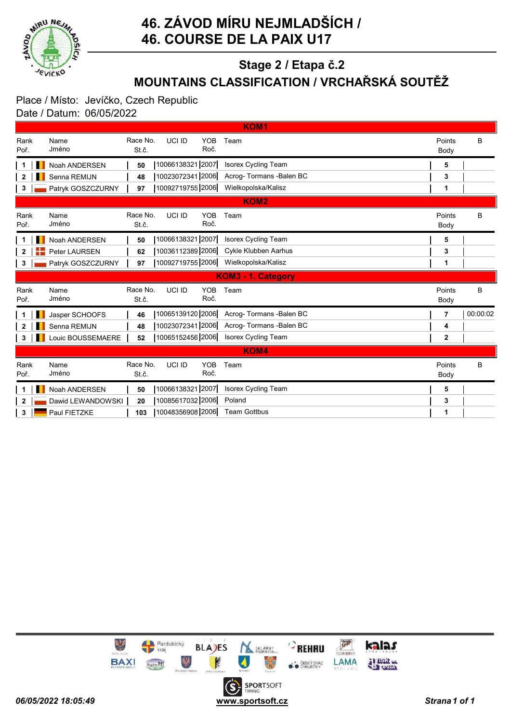

# MOUNTAINS CLASSIFICATION / VRCHAŘSKÁ SOUTĚŽ Stage 2 / Etapa č.2

### Place / Místo: Jevíčko, Czech Republic Date / Datum: 06/05/2022

|                    |                   |                   |                                      | KOM <sub>1</sub>           |                |          |  |  |  |
|--------------------|-------------------|-------------------|--------------------------------------|----------------------------|----------------|----------|--|--|--|
| Rank<br>Poř.       | Name<br>Jméno     | Race No.<br>St.č. | <b>YOB</b><br>UCI ID<br>Roč.         | Team                       | Points<br>Body | B        |  |  |  |
|                    | Noah ANDERSEN     | 50                | 10066138321 2007                     | <b>Isorex Cycling Team</b> | 5              |          |  |  |  |
| 2                  | Senna REMIJN      | 48                | 10023072341 2006                     | Acrog- Tormans - Balen BC  | 3              |          |  |  |  |
| 3                  | Patryk GOSZCZURNY | 97                | 10092719755 2006                     | Wielkopolska/Kalisz        | 1              |          |  |  |  |
|                    |                   |                   |                                      | KOM <sub>2</sub>           |                |          |  |  |  |
| Rank<br>Poř.       | Name<br>Jméno     | Race No.<br>St.č. | UCI ID<br><b>YOB</b><br>Roč.         | Team                       | Points<br>Body | B        |  |  |  |
|                    | Noah ANDERSEN     | 50                | 10066138321 2007                     | Isorex Cycling Team        | 5              |          |  |  |  |
| $\mathbf{2}$       | Peter LAURSEN     | 62                | 10036112389 2006                     | Cykle Klubben Aarhus       | 3              |          |  |  |  |
| 3                  | Patryk GOSZCZURNY | 97                | 10092719755 2006                     | Wielkopolska/Kalisz        | 1              |          |  |  |  |
| KOM3 - 1. Category |                   |                   |                                      |                            |                |          |  |  |  |
|                    |                   |                   |                                      |                            |                |          |  |  |  |
| Rank<br>Poř.       | Name<br>Jméno     | Race No.<br>St.č. | <b>YOB</b><br>UCI ID<br>Roč.         | Team                       | Points<br>Body | B        |  |  |  |
|                    | Jasper SCHOOFS    | 46                | 10065139120 2006                     | Acrog- Tormans - Balen BC  | 7              | 00:00:02 |  |  |  |
| 2                  | Senna REMIJN      | 48                | 10023072341 2006                     | Acrog-Tormans -Balen BC    | 4              |          |  |  |  |
| 3                  | Louic BOUSSEMAERE | 52                | 10065152456 2006                     | <b>Isorex Cycling Team</b> | $\mathbf{2}$   |          |  |  |  |
|                    |                   |                   |                                      | <b>KOM4</b>                |                |          |  |  |  |
| Rank<br>Poř.       | Name<br>Jméno     | Race No.<br>St.č. | <b>YOB</b><br>UCI ID<br>Roč.         | Team                       | Points<br>Body | B        |  |  |  |
|                    | Noah ANDERSEN     | 50                | 10066138321 2007                     | <b>Isorex Cycling Team</b> | 5              |          |  |  |  |
| 2                  | Dawid LEWANDOWSKI | 20                | 10085617032 2006<br>10048356908 2006 | Poland                     | 3              |          |  |  |  |